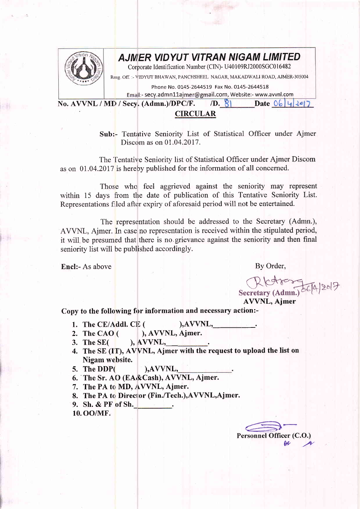

## AJMIER VIDYUT VITRAN NIGAM LIMITED

Corporate Identification Number (CIN)- U40109RJ2000SGC016482

Resg. Off. :- VIDYUT BHAWAN, PANCHSHEEL NAGAR, MAKADWALI ROAD, AJMER-305004

Phone No. 0145-2644519 Fax No. 0145-2644518

Emall:- secy.admn11ajmer@gmail.com, Website:- www.avvnl.com

No. AVVNL / MD / Secy. (Admn.)/DPC/F. /D. 8 Date 06

## CIRCULAR

Sub:- Tentative Seniority List of Statistical Officer under Ajmer Discom as on 01.04.2017.

The Tentative Seniority list of Statistical Officer under Ajmer Discom as on 01.04.2017 is hereby published for the information of all concerned.

Those who feel aggrieved against the seniority may represent within 15 days from the date of publication of this Tentative Seniority List. Representations filed after expiry of aforesaid period will not be entertained.

The representation should be addressed to the Secretary (Admn.), AVVNL, Ajmer. In case no representation is received within the stipulated period, it will be presumed that there is no grievance against the seniority and then final seniority list will be published accordingly.

Encl:- As above By Order,

Secretary (Admn.)

AVVNL, Ajmer

Copy to the following for information and necessary action:-

- 
- 1. The CE/Addl. CE  $($  ), AVVNL,  $\_\_2$ .<br>2. The CAO  $($  ), AVVNL, Ajmer. 2. The CAO  $($  ), AVVNL, Ajmer.<br>3. The SE $($  ), AVVNL,
- ), AVVNL,
- 4. The SE (IT), AVVNL, Ajmer with the request to upload the list on Nigam website.
- 5. The DDP( ), AVVNL,
- 6. The Sr. AO (EA&Cash), AVVNL, Ajmer.
- 7. The PA to MD, AVVNL, Ajmer.
- 8. The PA to Director (Fin./Tech.),AVVNL,Ajmer.
- 9. Sh. & PF of Sh.
- 10. oo/MF.

Personnel Officer (C.O.)  $f(x)$